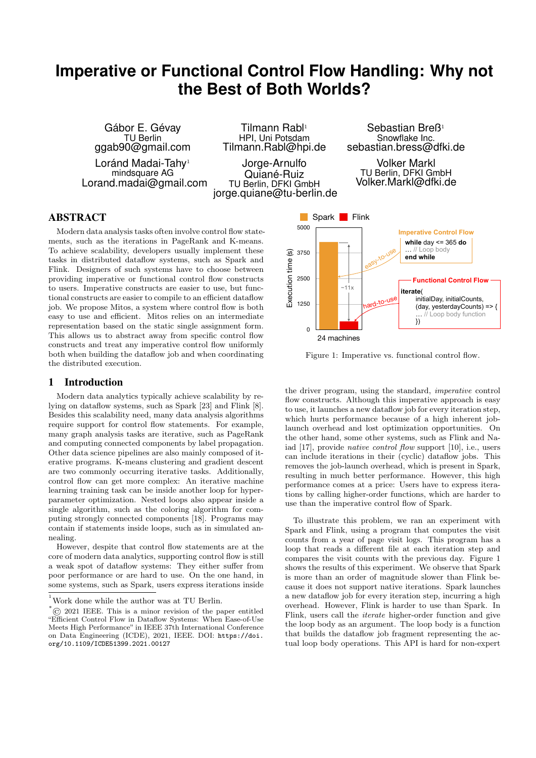# **Imperative or Functional Control Flow Handling: Why not the Best of Both Worlds?**

Tilmann Rabl<sup>1</sup>

Gábor E. Gévay TU Berlin ggab90@gmail.com Loránd Madai-Tahy<sup>1</sup> mindsquare AG Lorand.madai@gmail.com

HPI, Uni Potsdam Tilmann.Rabl@hpi.de Jorge-Arnulfo Quiané-Ruiz TU Berlin, DFKI GmbH jorge.quiane@tu-berlin.de

Sebastian Breß<sup>1</sup> Snowflake Inc. sebastian.bress@dfki.de

Volker Markl TU Berlin, DFKI GmbH Volker.Markl@dfki.de

# ABSTRACT

Modern data analysis tasks often involve control flow statements, such as the iterations in PageRank and K-means. To achieve scalability, developers usually implement these tasks in distributed dataflow systems, such as Spark and Flink. Designers of such systems have to choose between providing imperative or functional control flow constructs to users. Imperative constructs are easier to use, but functional constructs are easier to compile to an efficient dataflow job. We propose Mitos, a system where control flow is both easy to use and efficient. Mitos relies on an intermediate representation based on the static single assignment form. This allows us to abstract away from specific control flow constructs and treat any imperative control flow uniformly both when building the dataflow job and when coordinating the distributed execution.

## 1 Introduction

Modern data analytics typically achieve scalability by relying on dataflow systems, such as Spark [\[23\]](#page-7-0) and Flink [\[8\]](#page-7-1). Besides this scalability need, many data analysis algorithms require support for control flow statements. For example, many graph analysis tasks are iterative, such as PageRank and computing connected components by label propagation. Other data science pipelines are also mainly composed of iterative programs. K-means clustering and gradient descent are two commonly occurring iterative tasks. Additionally, control flow can get more complex: An iterative machine learning training task can be inside another loop for hyperparameter optimization. Nested loops also appear inside a single algorithm, such as the coloring algorithm for computing strongly connected components [\[18\]](#page-7-2). Programs may contain if statements inside loops, such as in simulated annealing. 10 achieve secalability, developers usually implement these<br>
Fig. based is distributed dataflow systems, such as Spark and<br>
Fig. Designers of such systems have to choose between<br>
Fig. Designers of such systems in the comp

However, despite that control flow statements are at the core of modern data analytics, supporting control flow is still a weak spot of dataflow systems: They either suffer from poor performance or are hard to use. On the one hand, in some systems, such as Spark, users express iterations inside

<span id="page-0-0"></span>

Figure 1: Imperative vs. functional control flow.

the driver program, using the standard, imperative control flow constructs. Although this imperative approach is easy to use, it launches a new dataflow job for every iteration step, which hurts performance because of a high inherent joblaunch overhead and lost optimization opportunities. On the other hand, some other systems, such as Flink and Naiad [\[17\]](#page-7-3), provide native control flow support [\[10\]](#page-7-4), i.e., users can include iterations in their (cyclic) dataflow jobs. This removes the job-launch overhead, which is present in Spark, resulting in much better performance. However, this high performance comes at a price: Users have to express iterations by calling higher-order functions, which are harder to use than the imperative control flow of Spark.

overhead. However, Flink is harder to use than Spark. In To illustrate this problem, we ran an experiment with Spark and Flink, using a program that computes the visit counts from a year of page visit logs. This program has a loop that reads a different file at each iteration step and compares the visit counts with the previous day. [Figure 1](#page-0-0) shows the results of this experiment. We observe that Spark is more than an order of magnitude slower than Flink because it does not support native iterations. Spark launches a new dataflow job for every iteration step, incurring a high Flink, users call the iterate higher-order function and give the loop body as an argument. The loop body is a function that builds the dataflow job fragment representing the actual loop body operations. This API is hard for non-expert

 $^{\rm ^{1}}$  Work done while the author was at TU Berlin.

 $\overline{^*}$  $\odot$  2021 IEEE. This is a minor revision of the paper entitled "Efficient Control Flow in Dataflow Systems: When Ease-of-Use Meets High Performance" in IEEE 37th International Conference on Data Engineering (ICDE), 2021, IEEE. DOI: [https://doi.](https://doi.org/10.1109/ICDE51399.2021.00127)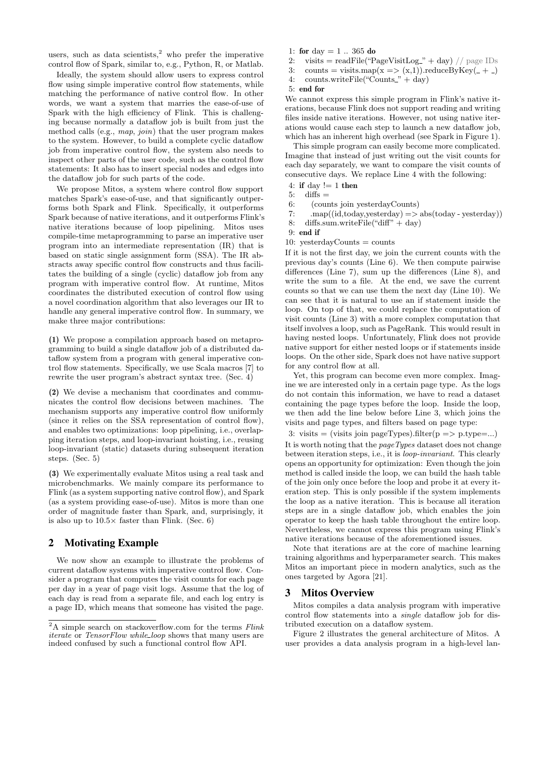users, such as data scientists, $^2$  $^2$  who prefer the imperative control flow of Spark, similar to, e.g., Python, R, or Matlab.

Ideally, the system should allow users to express control flow using simple imperative control flow statements, while matching the performance of native control flow. In other words, we want a system that marries the ease-of-use of Spark with the high efficiency of Flink. This is challenging because normally a dataflow job is built from just the method calls (e.g., map, join) that the user program makes to the system. However, to build a complete cyclic dataflow job from imperative control flow, the system also needs to inspect other parts of the user code, such as the control flow statements: It also has to insert special nodes and edges into the dataflow job for such parts of the code.

We propose Mitos, a system where control flow support matches Spark's ease-of-use, and that significantly outperforms both Spark and Flink. Specifically, it outperforms Spark because of native iterations, and it outperforms Flink's native iterations because of loop pipelining. Mitos uses compile-time metaprogramming to parse an imperative user program into an intermediate representation (IR) that is based on static single assignment form (SSA). The IR abstracts away specific control flow constructs and thus facilitates the building of a single (cyclic) dataflow job from any program with imperative control flow. At runtime, Mitos coordinates the distributed execution of control flow using a novel coordination algorithm that also leverages our IR to handle any general imperative control flow. In summary, we make three major contributions:

(1) We propose a compilation approach based on metaprogramming to build a single dataflow job of a distributed dataflow system from a program with general imperative control flow statements. Specifically, we use Scala macros [\[7\]](#page-7-5) to rewrite the user program's abstract syntax tree. [\(Sec. 4\)](#page-2-0)

(2) We devise a mechanism that coordinates and communicates the control flow decisions between machines. The mechanism supports any imperative control flow uniformly (since it relies on the SSA representation of control flow), and enables two optimizations: loop pipelining, i.e., overlapping iteration steps, and loop-invariant hoisting, i.e., reusing loop-invariant (static) datasets during subsequent iteration steps. [\(Sec. 5\)](#page-3-0)

(3) We experimentally evaluate Mitos using a real task and microbenchmarks. We mainly compare its performance to Flink (as a system supporting native control flow), and Spark (as a system providing ease-of-use). Mitos is more than one order of magnitude faster than Spark, and, surprisingly, it is also up to  $10.5\times$  faster than Flink. [\(Sec. 6\)](#page-5-0)

## <span id="page-1-8"></span>2 Motivating Example

We now show an example to illustrate the problems of current dataflow systems with imperative control flow. Consider a program that computes the visit counts for each page per day in a year of page visit logs. Assume that the log of each day is read from a separate file, and each log entry is a page ID, which means that someone has visited the page.

- <span id="page-1-11"></span>1: for day  $= 1$  .. 365 do
- <span id="page-1-9"></span>2: visits = readFile("PageVisitLog\_" + day) // page IDs
- <span id="page-1-6"></span>3: counts = visits.map(x => (x,1)).reduceByKey( $- +$
- <span id="page-1-1"></span>4: counts.writeFile("Counts." + day)
- <span id="page-1-10"></span>5: end for

We cannot express this simple program in Flink's native iterations, because Flink does not support reading and writing files inside native iterations. However, not using native iterations would cause each step to launch a new dataflow job, which has an inherent high overhead (see Spark in [Figure 1\)](#page-0-0).

This simple program can easily become more complicated. Imagine that instead of just writing out the visit counts for each day separately, we want to compare the visit counts of consecutive days. We replace [Line 4](#page-1-1) with the following:

- 4: if day  $!= 1$  then
- $5:$  diffs  $=$
- <span id="page-1-2"></span>6: (counts join yesterdayCounts)
- <span id="page-1-3"></span>7:  $\text{map}((\text{id}, \text{today}, \text{yosterday}) = > \text{abs}(\text{today - yesterday}))$ <br>8: diffs.sum.writeFile("diff" + day)
- <span id="page-1-4"></span> $diffs.sum.writeFile("diff" + day)$

<span id="page-1-7"></span>9: end if

<span id="page-1-5"></span>10:  $y \text{esterdayCounts} = \text{counts}$ 

If it is not the first day, we join the current counts with the previous day's counts [\(Line 6\)](#page-1-2). We then compute pairwise differences [\(Line 7\)](#page-1-3), sum up the differences [\(Line 8\)](#page-1-4), and write the sum to a file. At the end, we save the current counts so that we can use them the next day [\(Line 10\)](#page-1-5). We can see that it is natural to use an if statement inside the loop. On top of that, we could replace the computation of visit counts [\(Line 3\)](#page-1-6) with a more complex computation that itself involves a loop, such as PageRank. This would result in having nested loops. Unfortunately, Flink does not provide native support for either nested loops or if statements inside loops. On the other side, Spark does not have native support for any control flow at all.

Yet, this program can become even more complex. Imagine we are interested only in a certain page type. As the logs do not contain this information, we have to read a dataset containing the page types before the loop. Inside the loop, we then add the line below before [Line 3,](#page-1-6) which joins the visits and page types, and filters based on page type:

3: visits = (visits join pageTypes).filter(p => p.type=...)

It is worth noting that the *pageTypes* dataset does not change between iteration steps, i.e., it is loop-invariant. This clearly opens an opportunity for optimization: Even though the join method is called inside the loop, we can build the hash table of the join only once before the loop and probe it at every iteration step. This is only possible if the system implements the loop as a native iteration. This is because all iteration steps are in a single dataflow job, which enables the join operator to keep the hash table throughout the entire loop. Nevertheless, we cannot express this program using Flink's native iterations because of the aforementioned issues.

Note that iterations are at the core of machine learning training algorithms and hyperparameter search. This makes Mitos an important piece in modern analytics, such as the ones targeted by Agora [\[21\]](#page-7-6).

## 3 Mitos Overview

Mitos compiles a data analysis program with imperative control flow statements into a single dataflow job for distributed execution on a dataflow system.

[Figure 2](#page-2-1) illustrates the general architecture of Mitos. A user provides a data analysis program in a high-level lan-

<span id="page-1-0"></span> $\overline{^{2}{\rm A}}$  simple search on stackoverflow.com for the terms  $\it Flink$  $\it Flink$ [iterate](https://stackoverflow.com/search?q=flink+iterate) or [TensorFlow while](https://stackoverflow.com/search?q=TensorFlow+while_loop)\_loop shows that many users are indeed confused by such a functional control flow API.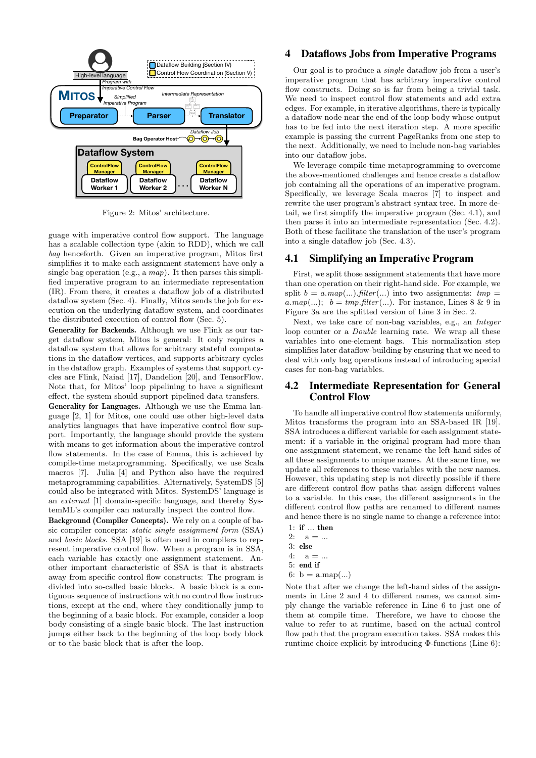<span id="page-2-1"></span>

Figure 2: Mitos' architecture.

guage with imperative control flow support. The language has a scalable collection type (akin to RDD), which we call bag henceforth. Given an imperative program, Mitos first simplifies it to make each assignment statement have only a single bag operation (e.g., a  $map$ ). It then parses this simplified imperative program to an intermediate representation (IR). From there, it creates a dataflow job of a distributed dataflow system [\(Sec. 4\)](#page-2-0). Finally, Mitos sends the job for execution on the underlying dataflow system, and coordinates the distributed execution of control flow [\(Sec. 5\)](#page-3-0).

Generality for Backends. Although we use Flink as our target dataflow system, Mitos is general: It only requires a dataflow system that allows for arbitrary stateful computations in the dataflow vertices, and supports arbitrary cycles in the dataflow graph. Examples of systems that support cycles are Flink, Naiad [\[17\]](#page-7-3), Dandelion [\[20\]](#page-7-7), and TensorFlow. Note that, for Mitos' loop pipelining to have a significant effect, the system should support pipelined data transfers.

Generality for Languages. Although we use the Emma language [\[2,](#page-7-8) [1\]](#page-7-9) for Mitos, one could use other high-level data analytics languages that have imperative control flow support. Importantly, the language should provide the system with means to get information about the imperative control flow statements. In the case of Emma, this is achieved by compile-time metaprogramming. Specifically, we use Scala macros [\[7\]](#page-7-5). Julia [\[4\]](#page-7-10) and Python also have the required metaprogramming capabilities. Alternatively, SystemDS [\[5\]](#page-7-11) could also be integrated with Mitos. SystemDS' language is an external [\[1\]](#page-7-9) domain-specific language, and thereby SystemML's compiler can naturally inspect the control flow.

Background (Compiler Concepts). We rely on a couple of basic compiler concepts: static single assignment form (SSA) and basic blocks. SSA [\[19\]](#page-7-12) is often used in compilers to represent imperative control flow. When a program is in SSA, each variable has exactly one assignment statement. Another important characteristic of SSA is that it abstracts away from specific control flow constructs: The program is divided into so-called basic blocks. A basic block is a contiguous sequence of instructions with no control flow instructions, except at the end, where they conditionally jump to the beginning of a basic block. For example, consider a loop body consisting of a single basic block. The last instruction jumps either back to the beginning of the loop body block or to the basic block that is after the loop.

## <span id="page-2-0"></span>4 Dataflows Jobs from Imperative Programs

Our goal is to produce a single dataflow job from a user's imperative program that has arbitrary imperative control flow constructs. Doing so is far from being a trivial task. We need to inspect control flow statements and add extra edges. For example, in iterative algorithms, there is typically a dataflow node near the end of the loop body whose output has to be fed into the next iteration step. A more specific example is passing the current PageRanks from one step to the next. Additionally, we need to include non-bag variables into our dataflow jobs.

We leverage compile-time metaprogramming to overcome the above-mentioned challenges and hence create a dataflow job containing all the operations of an imperative program. Specifically, we leverage Scala macros [\[7\]](#page-7-5) to inspect and rewrite the user program's abstract syntax tree. In more detail, we first simplify the imperative program [\(Sec. 4.1\)](#page-2-2), and then parse it into an intermediate representation [\(Sec. 4.2\)](#page-2-3). Both of these facilitate the translation of the user's program into a single dataflow job [\(Sec. 4.3\)](#page-3-1).

## <span id="page-2-2"></span>4.1 Simplifying an Imperative Program

First, we split those assignment statements that have more than one operation on their right-hand side. For example, we split  $b = a \cdot map(...).filter(...)$  into two assignments:  $tmp =$ a.map(...);  $b = tmp.filter(...)$ . For instance, Lines [8](#page-1-4) & [9](#page-1-7) in [Figure 3a](#page-3-2) are the splitted version of [Line 3](#page-1-6) in [Sec. 2.](#page-1-8)

Next, we take care of non-bag variables, e.g., an Integer loop counter or a Double learning rate. We wrap all these variables into one-element bags. This normalization step simplifies later dataflow-building by ensuring that we need to deal with only bag operations instead of introducing special cases for non-bag variables.

## <span id="page-2-3"></span>4.2 Intermediate Representation for General Control Flow

To handle all imperative control flow statements uniformly, Mitos transforms the program into an SSA-based IR [\[19\]](#page-7-12). SSA introduces a different variable for each assignment statement: if a variable in the original program had more than one assignment statement, we rename the left-hand sides of all these assignments to unique names. At the same time, we update all references to these variables with the new names. However, this updating step is not directly possible if there are different control flow paths that assign different values to a variable. In this case, the different assignments in the different control flow paths are renamed to different names and hence there is no single name to change a reference into:

- 1: if ... then
- 2:  $a = ...$
- 3: else
- $4: a = ...$
- 5: end if
- 6:  $b = a \cdot \text{map}(\ldots)$

Note that after we change the left-hand sides of the assignments in [Line 2](#page-1-9) and [4](#page-1-1) to different names, we cannot simply change the variable reference in [Line 6](#page-1-2) to just one of them at compile time. Therefore, we have to choose the value to refer to at runtime, based on the actual control flow path that the program execution takes. SSA makes this runtime choice explicit by introducing Φ-functions [\(Line 6\)](#page-1-2):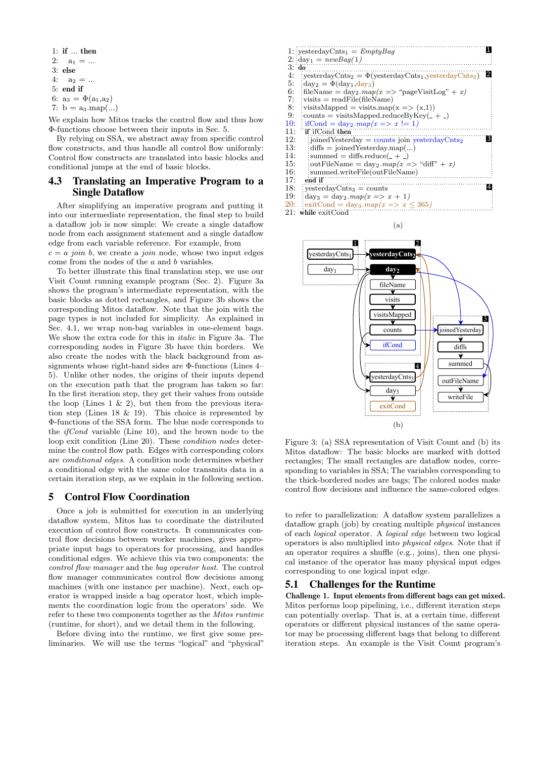- 1: if ... then
- 2:  $a_1 = ...$
- 3: else
- 4:  $a_2 = ...$ 5: end if
- 6:  $a_3 = \Phi(a_1, a_2)$
- 7:  $b = a_3 \cdot \text{map}(\ldots)$

We explain how Mitos tracks the control flow and thus how Φ-functions choose between their inputs in [Sec. 5.](#page-3-0)

By relying on SSA, we abstract away from specific control flow constructs, and thus handle all control flow uniformly: Control flow constructs are translated into basic blocks and conditional jumps at the end of basic blocks.

## <span id="page-3-1"></span>4.3 Translating an Imperative Program to a Single Dataflow

After simplifying an imperative program and putting it into our intermediate representation, the final step to build a dataflow job is now simple: We create a single dataflow node from each assignment statement and a single dataflow edge from each variable reference. For example, from

 $c = a$  join b, we create a join node, whose two input edges come from the nodes of the a and b variables.

To better illustrate this final translation step, we use our Visit Count running example program [\(Sec. 2\)](#page-1-8). [Figure 3a](#page-3-2) shows the program's intermediate representation, with the basic blocks as dotted rectangles, and [Figure 3b](#page-3-2) shows the corresponding Mitos dataflow. Note that the join with the page types is not included for simplicity. As explained in [Sec. 4.1,](#page-2-2) we wrap non-bag variables in one-element bags. We show the extra code for this in italic in [Figure 3a.](#page-3-2) The corresponding nodes in [Figure 3b](#page-3-2) have thin borders. We also create the nodes with the black background from assignments whose right-hand sides are Φ-functions (Lines [4–](#page-1-1) [5\)](#page-1-10). Unlike other nodes, the origins of their inputs depend on the execution path that the program has taken so far: In the first iteration step, they get their values from outside the loop (Lines [1](#page-1-11)  $\&$  [2\)](#page-1-9), but then from the previous iteration step (Lines [18](#page-3-3) & [19\)](#page-3-4). This choice is represented by Φ-functions of the SSA form. The blue node corresponds to the  $ifCond$  variable [\(Line 10\)](#page-1-5), and the brown node to the loop exit condition [\(Line 20\)](#page-3-5). These condition nodes determine the control flow path. Edges with corresponding colors are conditional edges. A condition node determines whether a conditional edge with the same color transmits data in a certain iteration step, as we explain in the following section.

## <span id="page-3-0"></span>5 Control Flow Coordination

Once a job is submitted for execution in an underlying dataflow system, Mitos has to coordinate the distributed execution of control flow constructs. It communicates control flow decisions between worker machines, gives appropriate input bags to operators for processing, and handles conditional edges. We achieve this via two components: the control flow manager and the bag operator host. The control flow manager communicates control flow decisions among machines (with one instance per machine). Next, each operator is wrapped inside a bag operator host, which implements the coordination logic from the operators' side. We refer to these two components together as the Mitos runtime (runtime, for short), and we detail them in the following.

Before diving into the runtime, we first give some preliminaries. We will use the terms "logical" and "physical"

<span id="page-3-2"></span>

|       | 1: yesterdayCnts <sub>1</sub> = $EmptyBag$                                                          |
|-------|-----------------------------------------------------------------------------------------------------|
|       | 2: $day_1 = newBag(1)$                                                                              |
| 3: do |                                                                                                     |
| 4:    | 2<br>yesterdayCnts <sub>2</sub> = $\Phi$ (yesterdayCnts <sub>1</sub> , yesterdayCnts <sub>3</sub> ) |
| 5:    | $day_2 = \Phi(day_1,day_3)$                                                                         |
| 6:    | fileName = $\text{day}_2 \cdot \text{map}(x \implies \text{``pageVisitLog''} + x)$                  |
| 7:    | $\exists$ visits = readFile(fileName)                                                               |
| 8:    | visitsMapped = visits.map(x => $(x,1)$ )                                                            |
| 9:    | $counts = visitsMapped.readuceByKey(_- + _)$                                                        |
| 10:   | ifCond = $day_2 \cdot map(x \implies x != 1)$                                                       |
| 11:   | if ifCond then                                                                                      |
| 12:   | 3<br>joined Yesterday = counts join yesterday $\text{Cnts}_2$                                       |
| 13:   | $diffs = joinedYesterdaymap()$                                                                      |
| 14:   | summed = $diffs.readuce($ <sub>-</sub> + $_{-})$                                                    |
| 15:   | outFileName = $\text{day}_2 \cdot \text{map}(x \implies \text{``diff''} + x)$                       |
| 16:   | summed.writeFile(outFileName)                                                                       |
| 17:   | end if                                                                                              |
| 18:   | $y \text{esterdayCnts}_3 = \text{counts}$                                                           |
| 19:   | $\mathrm{day}_3 = \mathrm{day}_2 \cdot map(x \Rightarrow x + 1)$                                    |
| 20:   | exitCond = day <sub>3</sub> . $map(x \implies x \leq 365)$                                          |
| 21:   | while exitCond                                                                                      |



<span id="page-3-5"></span><span id="page-3-4"></span><span id="page-3-3"></span>

Figure 3: (a) SSA representation of Visit Count and (b) its Mitos dataflow: The basic blocks are marked with dotted rectangles; The small rectangles are dataflow nodes, corresponding to variables in SSA; The variables corresponding to the thick-bordered nodes are bags; The colored nodes make control flow decisions and influence the same-colored edges.

to refer to parallelization: A dataflow system parallelizes a dataflow graph (job) by creating multiple physical instances of each logical operator. A logical edge between two logical operators is also multiplied into physical edges. Note that if an operator requires a shuffle (e.g., joins), then one physical instance of the operator has many physical input edges corresponding to one logical input edge.

## 5.1 Challenges for the Runtime

Challenge 1. Input elements from different bags can get mixed. Mitos performs loop pipelining, i.e., different iteration steps can potentially overlap. That is, at a certain time, different operators or different physical instances of the same operator may be processing different bags that belong to different iteration steps. An example is the Visit Count program's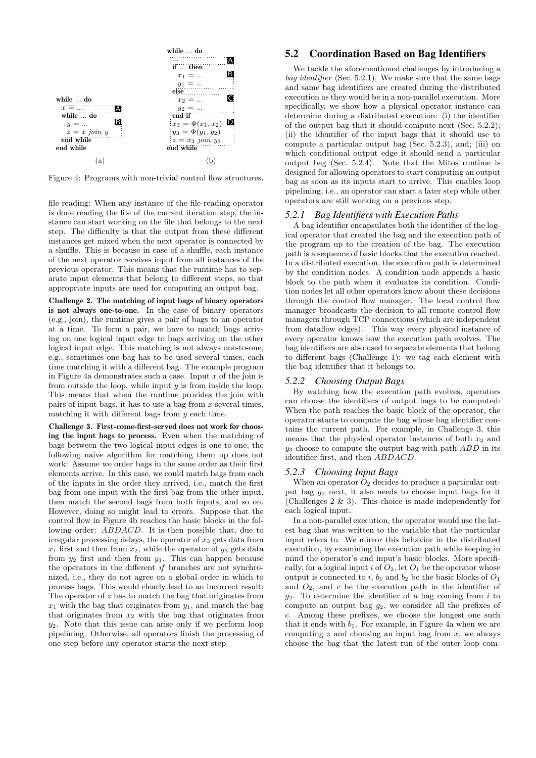<span id="page-4-0"></span>

Figure 4: Programs with non-trivial control flow structures.

file reading: When any instance of the file-reading operator is done reading the file of the current iteration step, the instance can start working on the file that belongs to the next step. The difficulty is that the output from these different instances get mixed when the next operator is connected by a shuffle. This is because in case of a shuffle, each instance of the next operator receives input from all instances of the previous operator. This means that the runtime has to separate input elements that belong to different steps, so that appropriate inputs are used for computing an output bag.

Challenge 2. The matching of input bags of binary operators is not always one-to-one. In the case of binary operators (e.g., join), the runtime gives a pair of bags to an operator at a time. To form a pair, we have to match bags arriving on one logical input edge to bags arriving on the other logical input edge. This matching is not always one-to-one, e.g., sometimes one bag has to be used several times, each time matching it with a different bag. The example program in [Figure 4a](#page-4-0) demonstrates such a case. Input  $x$  of the join is from outside the loop, while input  $y$  is from inside the loop. This means that when the runtime provides the join with pairs of input bags, it has to use a bag from  $x$  several times, matching it with different bags from  $y$  each time.

Challenge 3. First-come-first-served does not work for choosing the input bags to process. Even when the matching of bags between the two logical input edges is one-to-one, the following naive algorithm for matching them up does not work: Assume we order bags in the same order as their first elements arrive. In this case, we could match bags from each of the inputs in the order they arrived, i.e., match the first bag from one input with the first bag from the other input, then match the second bags from both inputs, and so on. However, doing so might lead to errors. Suppose that the control flow in [Figure 4b](#page-4-0) reaches the basic blocks in the following order: ABDACD. It is then possible that, due to irregular processing delays, the operator of  $x_3$  gets data from  $x_1$  first and then from  $x_2$ , while the operator of  $y_3$  gets data from  $y_2$  first and then from  $y_1$ . This can happen because the operators in the different if branches are not synchronized, i.e., they do not agree on a global order in which to process bags. This would clearly lead to an incorrect result: The operator of  $z$  has to match the bag that originates from  $x_1$  with the bag that originates from  $y_1$ , and match the bag that originates from  $x_2$  with the bag that originates from  $y_2$ . Note that this issue can arise only if we perform loop pipelining. Otherwise, all operators finish the processing of one step before any operator starts the next step.

## 5.2 Coordination Based on Bag Identifiers

We tackle the aforementioned challenges by introducing a bag identifier [\(Sec. 5.2.1\)](#page-4-1). We make sure that the same bags and same bag identifiers are created during the distributed execution as they would be in a non-parallel execution. More specifically, we show how a physical operator instance can determine during a distributed execution: (i) the identifier of the output bag that it should compute next [\(Sec. 5.2.2\)](#page-4-2); (ii) the identifier of the input bags that it should use to compute a particular output bag [\(Sec. 5.2.3\)](#page-4-3), and; (iii) on which conditional output edge it should send a particular output bag [\(Sec. 5.2.4\)](#page-5-1). Note that the Mitos runtime is designed for allowing operators to start computing an output bag as soon as its inputs start to arrive. This enables loop pipelining, i.e., an operator can start a later step while other operators are still working on a previous step.

#### <span id="page-4-1"></span>*5.2.1 Bag Identifiers with Execution Paths*

A bag identifier encapsulates both the identifier of the logical operator that created the bag and the execution path of the program up to the creation of the bag. The execution path is a sequence of basic blocks that the execution reached. In a distributed execution, the execution path is determined by the condition nodes. A condition node appends a basic block to the path when it evaluates its condition. Condition nodes let all other operators know about these decisions through the control flow manager. The local control flow manager broadcasts the decision to all remote control flow managers through TCP connections (which are independent from dataflow edges). This way every physical instance of every operator knows how the execution path evolves. The bag identifiers are also used to separate elements that belong to different bags (Challenge 1): we tag each element with the bag identifier that it belongs to.

#### <span id="page-4-2"></span>*5.2.2 Choosing Output Bags*

By watching how the execution path evolves, operators can choose the identifiers of output bags to be computed: When the path reaches the basic block of the operator, the operator starts to compute the bag whose bag identifier contains the current path. For example, in Challenge 3, this means that the physical operator instances of both  $x_3$  and  $y_3$  choose to compute the output bag with path  $ABD$  in its identifier first, and then ABDACD.

#### <span id="page-4-3"></span>*5.2.3 Choosing Input Bags*

When an operator  $O_2$  decides to produce a particular output bag  $g_2$  next, it also needs to choose input bags for it (Challenges 2 & 3). This choice is made independently for each logical input.

In a non-parallel execution, the operator would use the latest bag that was written to the variable that the particular input refers to. We mirror this behavior in the distributed execution, by examining the execution path while keeping in mind the operator's and input's basic blocks. More specifically, for a logical input i of  $O_2$ , let  $O_1$  be the operator whose output is connected to i,  $b_1$  and  $b_2$  be the basic blocks of  $O_1$ and  $O_2$ , and c be the execution path in the identifier of  $g_2$ . To determine the identifier of a bag coming from i to compute an output bag  $g_2$ , we consider all the prefixes of c. Among these prefixes, we choose the longest one such that it ends with  $b_1$ . For example, in [Figure 4a](#page-4-0) when we are computing  $z$  and choosing an input bag from  $x$ , we always choose the bag that the latest run of the outer loop com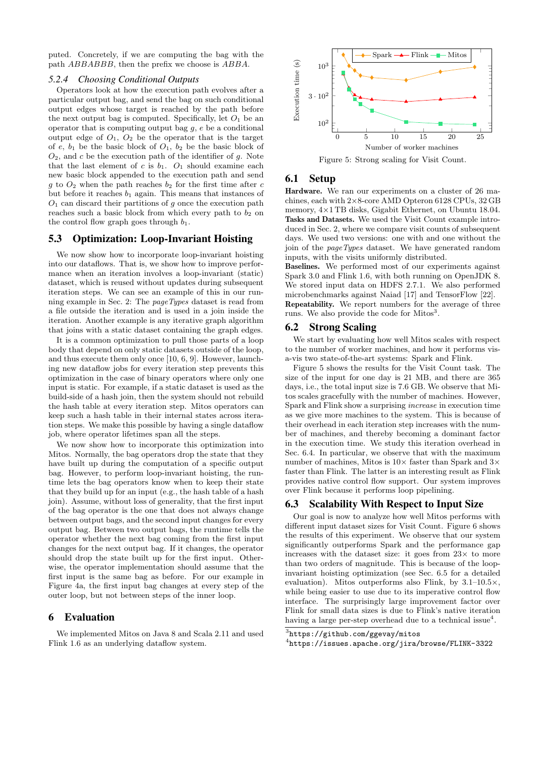puted. Concretely, if we are computing the bag with the path ABBABBB, then the prefix we choose is ABBA.

#### <span id="page-5-1"></span>*5.2.4 Choosing Conditional Outputs*

Operators look at how the execution path evolves after a particular output bag, and send the bag on such conditional output edges whose target is reached by the path before the next output bag is computed. Specifically, let  $O_1$  be an operator that is computing output bag  $g$ ,  $e$  be a conditional output edge of  $O_1$ ,  $O_2$  be the operator that is the target of e,  $b_1$  be the basic block of  $O_1$ ,  $b_2$  be the basic block of  $O_2$ , and c be the execution path of the identifier of q. Note that the last element of c is  $b_1$ .  $O_1$  should examine each new basic block appended to the execution path and send q to  $O_2$  when the path reaches  $b_2$  for the first time after c but before it reaches  $b_1$  again. This means that instances of  $O<sub>1</sub>$  can discard their partitions of g once the execution path reaches such a basic block from which every path to  $b_2$  on the control flow graph goes through  $b_1$ .

## <span id="page-5-5"></span>5.3 Optimization: Loop-Invariant Hoisting

We now show how to incorporate loop-invariant hoisting into our dataflows. That is, we show how to improve performance when an iteration involves a loop-invariant (static) dataset, which is reused without updates during subsequent iteration steps. We can see an example of this in our running example in [Sec. 2:](#page-1-8) The pageTypes dataset is read from a file outside the iteration and is used in a join inside the iteration. Another example is any iterative graph algorithm that joins with a static dataset containing the graph edges.

It is a common optimization to pull those parts of a loop body that depend on only static datasets outside of the loop, and thus execute them only once [\[10,](#page-7-4) [6,](#page-7-13) [9\]](#page-7-14). However, launching new dataflow jobs for every iteration step prevents this optimization in the case of binary operators where only one input is static. For example, if a static dataset is used as the build-side of a hash join, then the system should not rebuild the hash table at every iteration step. Mitos operators can keep such a hash table in their internal states across iteration steps. We make this possible by having a single dataflow job, where operator lifetimes span all the steps.

We now show how to incorporate this optimization into Mitos. Normally, the bag operators drop the state that they have built up during the computation of a specific output bag. However, to perform loop-invariant hoisting, the runtime lets the bag operators know when to keep their state that they build up for an input (e.g., the hash table of a hash join). Assume, without loss of generality, that the first input of the bag operator is the one that does not always change between output bags, and the second input changes for every output bag. Between two output bags, the runtime tells the operator whether the next bag coming from the first input changes for the next output bag. If it changes, the operator should drop the state built up for the first input. Otherwise, the operator implementation should assume that the first input is the same bag as before. For our example in [Figure 4a,](#page-4-0) the first input bag changes at every step of the outer loop, but not between steps of the inner loop.

#### <span id="page-5-0"></span>6 Evaluation

We implemented Mitos on Java 8 and Scala 2.11 and used Flink 1.6 as an underlying dataflow system.

<span id="page-5-3"></span>

Figure 5: Strong scaling for Visit Count.

## 6.1 Setup

Hardware. We ran our experiments on a cluster of 26 machines, each with 2×8-core AMD Opteron 6128 CPUs, 32 GB memory, 4×1 TB disks, Gigabit Ethernet, on Ubuntu 18.04. Tasks and Datasets. We used the Visit Count example introduced in [Sec. 2,](#page-1-8) where we compare visit counts of subsequent days. We used two versions: one with and one without the join of the pageTypes dataset. We have generated random inputs, with the visits uniformly distributed.

Baselines. We performed most of our experiments against Spark 3.0 and Flink 1.6, with both running on OpenJDK 8. We stored input data on HDFS 2.7.1. We also performed microbenchmarks against Naiad [\[17\]](#page-7-3) and TensorFlow [\[22\]](#page-7-15). Repeatability. We report numbers for the average of three runs. We also provide the code for Mitos<sup>[3](#page-5-2)</sup>.

#### 6.2 Strong Scaling

We start by evaluating how well Mitos scales with respect to the number of worker machines, and how it performs visa-vis two state-of-the-art systems: Spark and Flink.

[Figure 5](#page-5-3) shows the results for the Visit Count task. The size of the input for one day is 21 MB, and there are 365 days, i.e., the total input size is 7.6 GB. We observe that Mitos scales gracefully with the number of machines. However, Spark and Flink show a surprising increase in execution time as we give more machines to the system. This is because of their overhead in each iteration step increases with the number of machines, and thereby becoming a dominant factor in the execution time. We study this iteration overhead in [Sec. 6.4.](#page-6-0) In particular, we observe that with the maximum number of machines, Mitos is  $10\times$  faster than Spark and  $3\times$ faster than Flink. The latter is an interesting result as Flink provides native control flow support. Our system improves over Flink because it performs loop pipelining.

#### 6.3 Scalability With Respect to Input Size

Our goal is now to analyze how well Mitos performs with different input dataset sizes for Visit Count. [Figure 6](#page-6-1) shows the results of this experiment. We observe that our system significantly outperforms Spark and the performance gap increases with the dataset size: it goes from  $23\times$  to more than two orders of magnitude. This is because of the loopinvariant hoisting optimization (see [Sec. 6.5](#page-6-2) for a detailed evaluation). Mitos outperforms also Flink, by  $3.1{\text -}10.5\times$ , while being easier to use due to its imperative control flow interface. The surprisingly large improvement factor over Flink for small data sizes is due to Flink's native iteration having a large per-step overhead due to a technical issue<sup>[4](#page-5-4)</sup>.

<span id="page-5-2"></span><sup>3</sup> <https://github.com/ggevay/mitos>

<span id="page-5-4"></span><sup>4</sup> <https://issues.apache.org/jira/browse/FLINK-3322>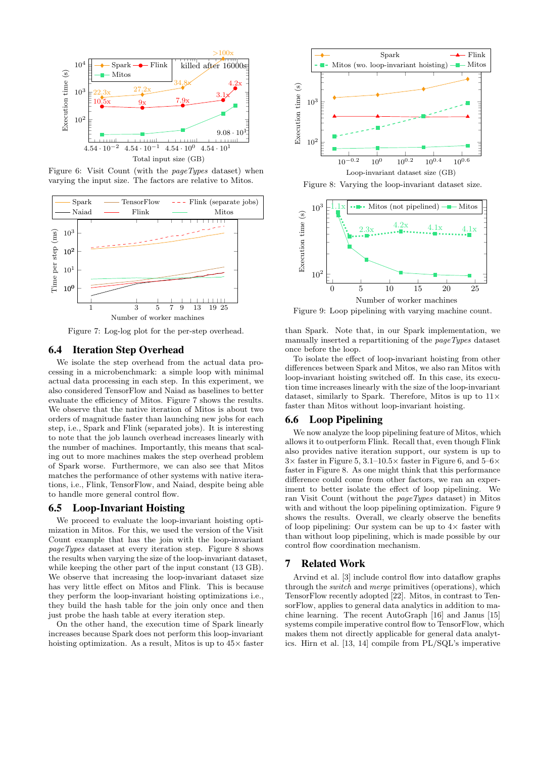<span id="page-6-1"></span>

Figure 6: Visit Count (with the pageTypes dataset) when varying the input size. The factors are relative to Mitos.

<span id="page-6-3"></span>

Figure 7: Log-log plot for the per-step overhead.

## <span id="page-6-0"></span>6.4 Iteration Step Overhead

We isolate the step overhead from the actual data processing in a microbenchmark: a simple loop with minimal actual data processing in each step. In this experiment, we also considered TensorFlow and Naiad as baselines to better evaluate the efficiency of Mitos. [Figure 7](#page-6-3) shows the results. We observe that the native iteration of Mitos is about two orders of magnitude faster than launching new jobs for each step, i.e., Spark and Flink (separated jobs). It is interesting to note that the job launch overhead increases linearly with the number of machines. Importantly, this means that scaling out to more machines makes the step overhead problem of Spark worse. Furthermore, we can also see that Mitos matches the performance of other systems with native iterations, i.e., Flink, TensorFlow, and Naiad, despite being able to handle more general control flow.

## <span id="page-6-2"></span>6.5 Loop-Invariant Hoisting

We proceed to evaluate the loop-invariant hoisting optimization in Mitos. For this, we used the version of the Visit Count example that has the join with the loop-invariant pageTypes dataset at every iteration step. [Figure 8](#page-6-4) shows the results when varying the size of the loop-invariant dataset, while keeping the other part of the input constant (13 GB). We observe that increasing the loop-invariant dataset size has very little effect on Mitos and Flink. This is because they perform the loop-invariant hoisting optimizations i.e., they build the hash table for the join only once and then just probe the hash table at every iteration step.

On the other hand, the execution time of Spark linearly increases because Spark does not perform this loop-invariant hoisting optimization. As a result, Mitos is up to  $45\times$  faster

<span id="page-6-4"></span>

Figure 8: Varying the loop-invariant dataset size.

<span id="page-6-5"></span>

Figure 9: Loop pipelining with varying machine count.

than Spark. Note that, in our Spark implementation, we manually inserted a repartitioning of the pageTypes dataset once before the loop.

To isolate the effect of loop-invariant hoisting from other differences between Spark and Mitos, we also ran Mitos with loop-invariant hoisting switched off. In this case, its execution time increases linearly with the size of the loop-invariant dataset, similarly to Spark. Therefore, Mitos is up to  $11\times$ faster than Mitos without loop-invariant hoisting.

## 6.6 Loop Pipelining

We now analyze the loop pipelining feature of Mitos, which allows it to outperform Flink. Recall that, even though Flink also provides native iteration support, our system is up to  $3\times$  faster in [Figure 5,](#page-5-3)  $3.1-10.5\times$  faster in [Figure 6,](#page-6-1) and  $5-6\times$ faster in [Figure 8.](#page-6-4) As one might think that this performance difference could come from other factors, we ran an experiment to better isolate the effect of loop pipelining. We ran Visit Count (without the pageTypes dataset) in Mitos with and without the loop pipelining optimization. [Figure 9](#page-6-5) shows the results. Overall, we clearly observe the benefits of loop pipelining: Our system can be up to  $4\times$  faster with than without loop pipelining, which is made possible by our control flow coordination mechanism.

#### 7 Related Work

Arvind et al. [\[3\]](#page-7-16) include control flow into dataflow graphs through the *switch* and *merge* primitives (operations), which TensorFlow recently adopted [\[22\]](#page-7-15). Mitos, in contrast to TensorFlow, applies to general data analytics in addition to machine learning. The recent AutoGraph [\[16\]](#page-7-17) and Janus [\[15\]](#page-7-18) systems compile imperative control flow to TensorFlow, which makes them not directly applicable for general data analytics. Hirn et al. [\[13,](#page-7-19) [14\]](#page-7-20) compile from PL/SQL's imperative